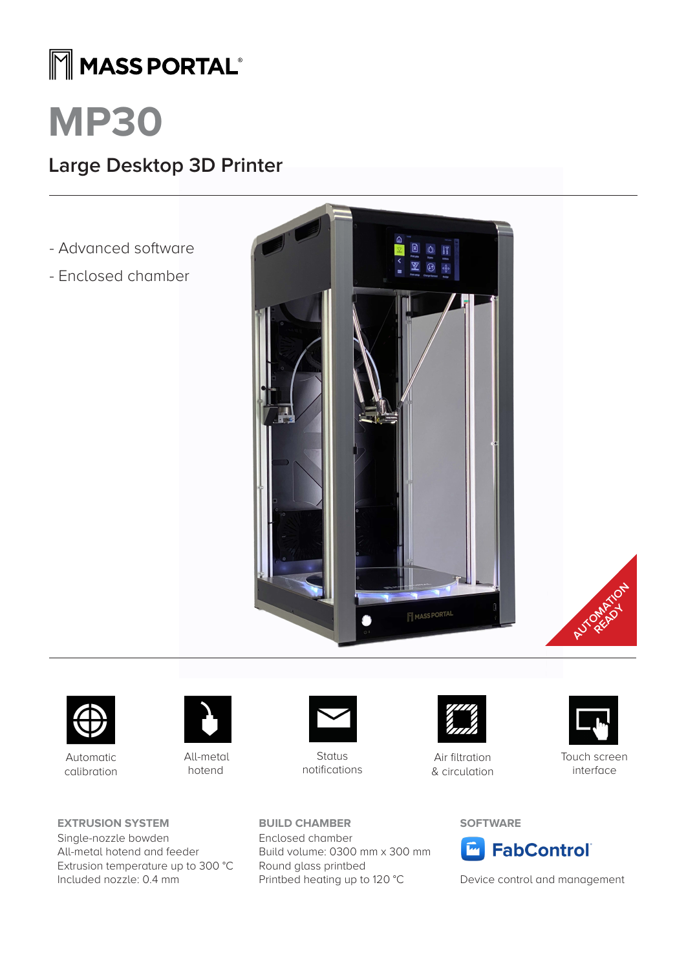## MMASS PORTAL®

# **MP30**

### **Large Desktop 3D Printer**

- Advanced software
- Enclosed chamber







Automatic calibration



All-metal hotend





**Status** notifications

Build volume: 0300 mm x 300 mm

Printbed heating up to 120 °C

**BUILD CHAMBER** Enclosed chamber

Round glass printbed



Air filtration & circulation



Touch screen interface

#### **SOFTWARE**



Device control and management